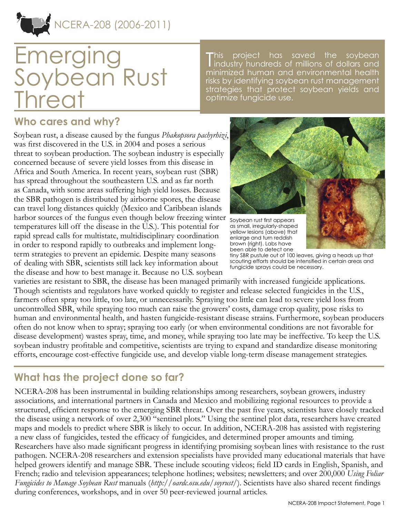

# **Emerging** Soybean Rust **Threat**

This project has saved the soybean<br>Industry hundreds of millions of dollars and his project has saved the soybean minimized human and environmental health risks by identifying soybean rust management strategies that protect soybean yields and optimize fungicide use.

### **Who cares and why?**

Soybean rust, a disease caused by the fungus *Phakopsora pachyrhizi*, was first discovered in the U.S. in 2004 and poses a serious threat to soybean production. The soybean industry is especially concerned because of severe yield losses from this disease in Africa and South America. In recent years, soybean rust (SBR) has spread throughout the southeastern U.S. and as far north as Canada, with some areas suffering high yield losses. Because the SBR pathogen is distributed by airborne spores, the disease can travel long distances quickly (Mexico and Caribbean islands harbor sources of the fungus even though below freezing winter Soybean rust first appears temperatures kill off the disease in the U.S.). This potential for rapid spread calls for multistate, multidisciplinary coordination in order to respond rapidly to outbreaks and implement longterm strategies to prevent an epidemic. Despite many seasons of dealing with SBR, scientists still lack key information about the disease and how to best manage it. Because no U.S. soybean



enlarge and turn reddish brown (right). Labs have been able to detect one

tiny SBR pustule out of 100 leaves, giving a heads up that scouting efforts should be intensified in certain areas and fungicide sprays could be necessary.

varieties are resistant to SBR, the disease has been managed primarily with increased fungicide applications. Though scientists and regulators have worked quickly to register and release selected fungicides in the U.S., farmers often spray too little, too late, or unnecessarily. Spraying too little can lead to severe yield loss from uncontrolled SBR, while spraying too much can raise the growers' costs, damage crop quality, pose risks to human and environmental health, and hasten fungicide-resistant disease strains. Furthermore, soybean producers often do not know when to spray; spraying too early (or when environmental conditions are not favorable for disease development) wastes spray, time, and money, while spraying too late may be ineffective. To keep the U.S. soybean industry profitable and competitive, scientists are trying to expand and standardize disease monitoring efforts, encourage cost-effective fungicide use, and develop viable long-term disease management strategies.

## **What has the project done so far?**

NCERA-208 has been instrumental in building relationships among researchers, soybean growers, industry associations, and international partners in Canada and Mexico and mobilizing regional resources to provide a structured, efficient response to the emerging SBR threat. Over the past five years, scientists have closely tracked the disease using a network of over 2,300 "sentinel plots." Using the sentinel plot data, researchers have created maps and models to predict where SBR is likely to occur. In addition, NCERA-208 has assisted with registering a new class of fungicides, tested the efficacy of fungicides, and determined proper amounts and timing. Researchers have also made significant progress in identifying promising soybean lines with resistance to the rust pathogen. NCERA-208 researchers and extension specialists have provided many educational materials that have helped growers identify and manage SBR. These include scouting videos; field ID cards in English, Spanish, and French; radio and television appearances; telephone hotlines; websites; newsletters; and over 200,000 *Using Foliar Fungicides to Manage Soybean Rust* manuals (*<http://oardc.osu.edu/soyrust/>*). Scientists have also shared recent findings during conferences, workshops, and in over 50 peer-reviewed journal articles.